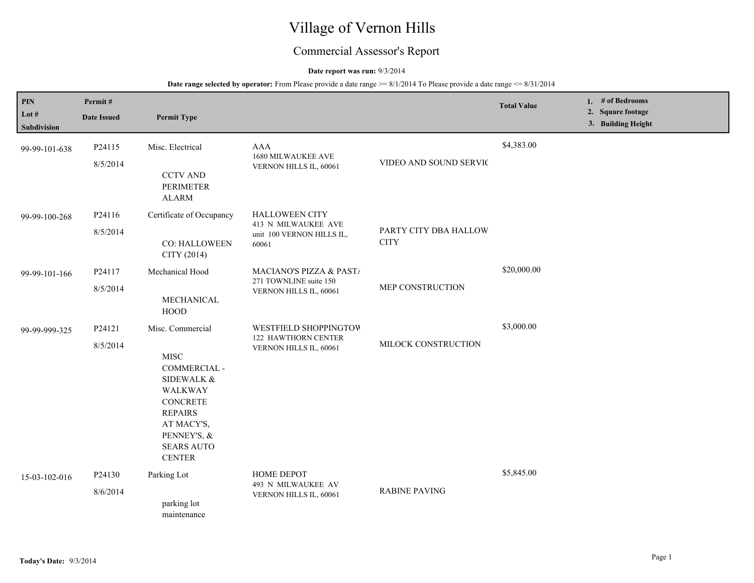# Village of Vernon Hills

## Commercial Assessor's Report

### **Date report was run:** 9/3/2014

| PIN<br>Lot $#$<br><b>Subdivision</b> | Permit#<br><b>Date Issued</b> | <b>Permit Type</b>                                                                                                                                                               |                                                                                    |                                      | <b>Total Value</b> | 1. # of Bedrooms<br>2. Square footage<br>3. Building Height |
|--------------------------------------|-------------------------------|----------------------------------------------------------------------------------------------------------------------------------------------------------------------------------|------------------------------------------------------------------------------------|--------------------------------------|--------------------|-------------------------------------------------------------|
| 99-99-101-638                        | P24115<br>8/5/2014            | Misc. Electrical<br><b>CCTV AND</b><br><b>PERIMETER</b><br><b>ALARM</b>                                                                                                          | <b>AAA</b><br>1680 MILWAUKEE AVE<br>VERNON HILLS IL, 60061                         | VIDEO AND SOUND SERVIC               | \$4,383.00         |                                                             |
| 99-99-100-268                        | P24116<br>8/5/2014            | Certificate of Occupancy<br>CO: HALLOWEEN<br>CITY (2014)                                                                                                                         | <b>HALLOWEEN CITY</b><br>413 N MILWAUKEE AVE<br>unit 100 VERNON HILLS IL,<br>60061 | PARTY CITY DBA HALLOW<br><b>CITY</b> |                    |                                                             |
| 99-99-101-166                        | P24117<br>8/5/2014            | Mechanical Hood<br>MECHANICAL<br><b>HOOD</b>                                                                                                                                     | MACIANO'S PIZZA & PAST/<br>271 TOWNLINE suite 150<br>VERNON HILLS IL, 60061        | MEP CONSTRUCTION                     | \$20,000.00        |                                                             |
| 99-99-999-325                        | P24121<br>8/5/2014            | Misc. Commercial<br><b>MISC</b><br>COMMERCIAL -<br>SIDEWALK &<br>WALKWAY<br><b>CONCRETE</b><br><b>REPAIRS</b><br>AT MACY'S,<br>PENNEY'S, &<br><b>SEARS AUTO</b><br><b>CENTER</b> | WESTFIELD SHOPPINGTOW<br>122 HAWTHORN CENTER<br>VERNON HILLS IL, 60061             | MILOCK CONSTRUCTION                  | \$3,000.00         |                                                             |
| 15-03-102-016                        | P24130<br>8/6/2014            | Parking Lot<br>parking lot<br>maintenance                                                                                                                                        | HOME DEPOT<br>493 N MILWAUKEE AV<br>VERNON HILLS IL, 60061                         | <b>RABINE PAVING</b>                 | \$5,845.00         |                                                             |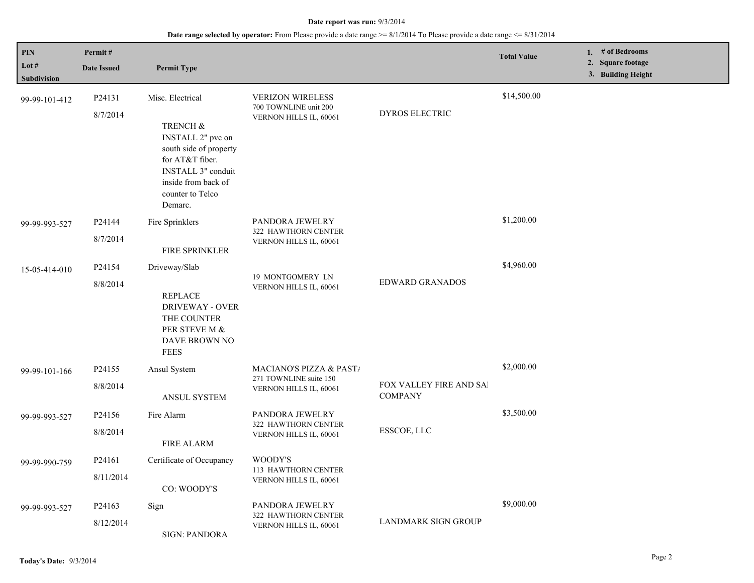| PIN<br>Lot #  | Permit#                                                                                                              |                                                                                                    |                                                                            |                                           | <b>Total Value</b> | 1. # of Bedrooms<br>2. Square footage |
|---------------|----------------------------------------------------------------------------------------------------------------------|----------------------------------------------------------------------------------------------------|----------------------------------------------------------------------------|-------------------------------------------|--------------------|---------------------------------------|
| Subdivision   | <b>Date Issued</b>                                                                                                   | <b>Permit Type</b>                                                                                 |                                                                            |                                           |                    | 3. Building Height                    |
| 99-99-101-412 | P24131<br>8/7/2014                                                                                                   | Misc. Electrical<br>TRENCH &<br>INSTALL 2" pvc on<br>south side of property                        | <b>VERIZON WIRELESS</b><br>700 TOWNLINE unit 200<br>VERNON HILLS IL, 60061 | DYROS ELECTRIC                            | \$14,500.00        |                                       |
|               |                                                                                                                      | for AT&T fiber.<br><b>INSTALL 3"</b> conduit<br>inside from back of<br>counter to Telco<br>Demarc. |                                                                            |                                           |                    |                                       |
| 99-99-993-527 | P24144                                                                                                               | Fire Sprinklers                                                                                    | PANDORA JEWELRY<br>322 HAWTHORN CENTER                                     |                                           | \$1,200.00         |                                       |
|               | 8/7/2014                                                                                                             | FIRE SPRINKLER                                                                                     | VERNON HILLS IL, 60061                                                     |                                           |                    |                                       |
| 15-05-414-010 | P24154                                                                                                               | Driveway/Slab                                                                                      |                                                                            |                                           | \$4,960.00         |                                       |
|               | 8/8/2014<br><b>REPLACE</b><br><b>DRIVEWAY - OVER</b><br>THE COUNTER<br>PER STEVE M &<br>DAVE BROWN NO<br><b>FEES</b> | 19 MONTGOMERY LN<br>VERNON HILLS IL, 60061                                                         | <b>EDWARD GRANADOS</b>                                                     |                                           |                    |                                       |
| 99-99-101-166 | P24155                                                                                                               | Ansul System                                                                                       | MACIANO'S PIZZA & PAST/                                                    |                                           | \$2,000.00         |                                       |
|               | 8/8/2014                                                                                                             | <b>ANSUL SYSTEM</b>                                                                                | 271 TOWNLINE suite 150<br>VERNON HILLS IL, 60061                           | FOX VALLEY FIRE AND SAI<br><b>COMPANY</b> |                    |                                       |
| 99-99-993-527 | P24156                                                                                                               | Fire Alarm                                                                                         | PANDORA JEWELRY<br>322 HAWTHORN CENTER                                     |                                           | \$3,500.00         |                                       |
|               | 8/8/2014                                                                                                             | <b>FIRE ALARM</b>                                                                                  | VERNON HILLS IL, 60061                                                     | ESSCOE, LLC                               |                    |                                       |
| 99-99-990-759 | P <sub>24161</sub>                                                                                                   | Certificate of Occupancy                                                                           | WOODY'S                                                                    |                                           |                    |                                       |
|               | 8/11/2014                                                                                                            | CO: WOODY'S                                                                                        | 113 HAWTHORN CENTER<br>VERNON HILLS IL, 60061                              |                                           |                    |                                       |
| 99-99-993-527 | P24163                                                                                                               | Sign                                                                                               | PANDORA JEWELRY<br>322 HAWTHORN CENTER                                     |                                           | \$9,000.00         |                                       |
|               | 8/12/2014                                                                                                            | <b>SIGN: PANDORA</b>                                                                               | VERNON HILLS IL, 60061                                                     | LANDMARK SIGN GROUP                       |                    |                                       |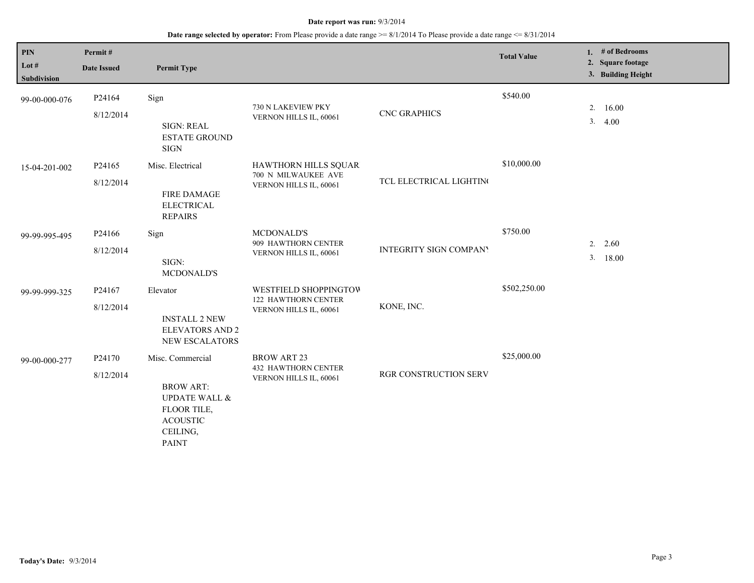| <b>PIN</b><br>Lot $#$<br>Subdivision | Permit#<br><b>Date Issued</b> | <b>Permit Type</b>                                                                                                             |                                                                               |                         | <b>Total Value</b> |          | 1. # of Bedrooms<br>2. Square footage<br>3. Building Height |
|--------------------------------------|-------------------------------|--------------------------------------------------------------------------------------------------------------------------------|-------------------------------------------------------------------------------|-------------------------|--------------------|----------|-------------------------------------------------------------|
| 99-00-000-076                        | P24164<br>8/12/2014           | Sign<br><b>SIGN: REAL</b><br><b>ESTATE GROUND</b><br><b>SIGN</b>                                                               | 730 N LAKEVIEW PKY<br>VERNON HILLS IL, 60061                                  | <b>CNC GRAPHICS</b>     | \$540.00           |          | 2.16.00<br>3.4.00                                           |
| 15-04-201-002                        | P24165<br>8/12/2014           | Misc. Electrical<br><b>FIRE DAMAGE</b><br><b>ELECTRICAL</b><br><b>REPAIRS</b>                                                  | HAWTHORN HILLS SQUAR<br>700 N MILWAUKEE AVE<br>VERNON HILLS IL, 60061         | TCL ELECTRICAL LIGHTING | \$10,000.00        |          |                                                             |
| 99-99-995-495                        | P24166<br>8/12/2014           | Sign<br>SIGN:<br><b>MCDONALD'S</b>                                                                                             | <b>MCDONALD'S</b><br>909 HAWTHORN CENTER<br>VERNON HILLS IL, 60061            | INTEGRITY SIGN COMPANY  | \$750.00           | 2.<br>3. | 2.60<br>18.00                                               |
| 99-99-999-325                        | P24167<br>8/12/2014           | Elevator<br><b>INSTALL 2 NEW</b><br><b>ELEVATORS AND 2</b><br><b>NEW ESCALATORS</b>                                            | WESTFIELD SHOPPINGTOW<br><b>122 HAWTHORN CENTER</b><br>VERNON HILLS IL, 60061 | KONE, INC.              | \$502,250.00       |          |                                                             |
| 99-00-000-277                        | P24170<br>8/12/2014           | Misc. Commercial<br><b>BROW ART:</b><br><b>UPDATE WALL &amp;</b><br>FLOOR TILE,<br><b>ACOUSTIC</b><br>CEILING,<br><b>PAINT</b> | <b>BROW ART 23</b><br><b>432 HAWTHORN CENTER</b><br>VERNON HILLS IL, 60061    | RGR CONSTRUCTION SERV   | \$25,000.00        |          |                                                             |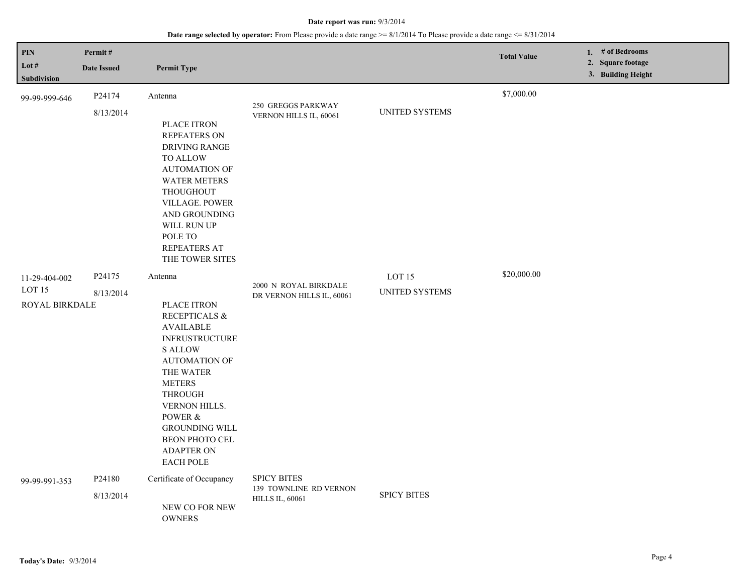| PIN<br>Lot $#$                                              | Permit#<br><b>Date Issued</b>   | <b>Permit Type</b>                                                                                                                                                                                                                                                                                               |                                                                        |                                            | <b>Total Value</b> | 1. # of Bedrooms<br>2. Square footage |
|-------------------------------------------------------------|---------------------------------|------------------------------------------------------------------------------------------------------------------------------------------------------------------------------------------------------------------------------------------------------------------------------------------------------------------|------------------------------------------------------------------------|--------------------------------------------|--------------------|---------------------------------------|
| Subdivision                                                 |                                 |                                                                                                                                                                                                                                                                                                                  |                                                                        |                                            |                    | 3. Building Height                    |
| 99-99-999-646                                               | P24174<br>8/13/2014             | Antenna<br>PLACE ITRON<br><b>REPEATERS ON</b><br>DRIVING RANGE<br><b>TO ALLOW</b><br><b>AUTOMATION OF</b><br><b>WATER METERS</b><br>THOUGHOUT<br>VILLAGE. POWER<br>AND GROUNDING<br>WILL RUN UP                                                                                                                  | 250 GREGGS PARKWAY<br>VERNON HILLS IL, 60061                           | UNITED SYSTEMS                             | \$7,000.00         |                                       |
|                                                             |                                 | POLE TO<br>REPEATERS AT<br>THE TOWER SITES                                                                                                                                                                                                                                                                       |                                                                        |                                            | \$20,000.00        |                                       |
| 11-29-404-002<br>LOT <sub>15</sub><br><b>ROYAL BIRKDALE</b> | P24175<br>8/13/2014             | Antenna<br>PLACE ITRON<br><b>RECEPTICALS &amp;</b><br><b>AVAILABLE</b><br><b>INFRUSTRUCTURE</b><br><b>S ALLOW</b><br><b>AUTOMATION OF</b><br>THE WATER<br><b>METERS</b><br><b>THROUGH</b><br><b>VERNON HILLS.</b><br>POWER &<br><b>GROUNDING WILL</b><br>BEON PHOTO CEL<br><b>ADAPTER ON</b><br><b>EACH POLE</b> | 2000 N ROYAL BIRKDALE<br>DR VERNON HILLS IL, 60061                     | LOT <sub>15</sub><br><b>UNITED SYSTEMS</b> |                    |                                       |
| 99-99-991-353                                               | P <sub>24180</sub><br>8/13/2014 | Certificate of Occupancy<br>NEW CO FOR NEW<br><b>OWNERS</b>                                                                                                                                                                                                                                                      | <b>SPICY BITES</b><br>139 TOWNLINE RD VERNON<br><b>HILLS IL, 60061</b> | <b>SPICY BITES</b>                         |                    |                                       |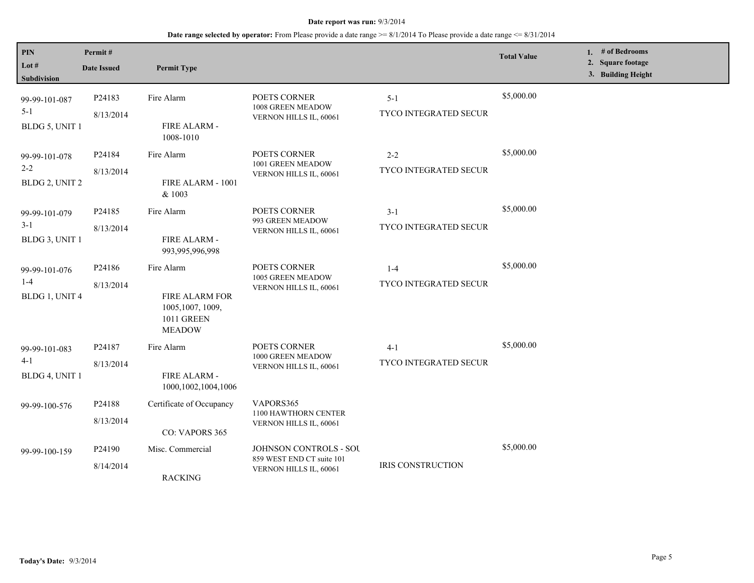| PIN<br>Lot $#$<br>Subdivision              | Permit#<br><b>Date Issued</b>   | <b>Permit Type</b>                                                                      |                                                                                      |                                         | <b>Total Value</b> | 1. # of Bedrooms<br>2. Square footage<br>3. Building Height |
|--------------------------------------------|---------------------------------|-----------------------------------------------------------------------------------------|--------------------------------------------------------------------------------------|-----------------------------------------|--------------------|-------------------------------------------------------------|
| 99-99-101-087<br>$5 - 1$<br>BLDG 5, UNIT 1 | P24183<br>8/13/2014             | Fire Alarm<br>FIRE ALARM -<br>1008-1010                                                 | POETS CORNER<br>1008 GREEN MEADOW<br>VERNON HILLS IL, 60061                          | $5 - 1$<br>TYCO INTEGRATED SECUR        | \$5,000.00         |                                                             |
| 99-99-101-078<br>$2 - 2$<br>BLDG 2, UNIT 2 | P24184<br>8/13/2014             | Fire Alarm<br>FIRE ALARM - 1001<br>& 1003                                               | POETS CORNER<br>1001 GREEN MEADOW<br>VERNON HILLS IL, 60061                          | $2 - 2$<br><b>TYCO INTEGRATED SECUR</b> | \$5,000.00         |                                                             |
| 99-99-101-079<br>$3 - 1$<br>BLDG 3, UNIT 1 | P <sub>24185</sub><br>8/13/2014 | Fire Alarm<br>FIRE ALARM -<br>993,995,996,998                                           | POETS CORNER<br>993 GREEN MEADOW<br>VERNON HILLS IL, 60061                           | $3 - 1$<br><b>TYCO INTEGRATED SECUR</b> | \$5,000.00         |                                                             |
| 99-99-101-076<br>$1 - 4$<br>BLDG 1, UNIT 4 | P24186<br>8/13/2014             | Fire Alarm<br>FIRE ALARM FOR<br>1005, 1007, 1009,<br><b>1011 GREEN</b><br><b>MEADOW</b> | POETS CORNER<br>1005 GREEN MEADOW<br>VERNON HILLS IL, 60061                          | $1 - 4$<br>TYCO INTEGRATED SECUR        | \$5,000.00         |                                                             |
| 99-99-101-083<br>$4 - 1$<br>BLDG 4, UNIT 1 | P24187<br>8/13/2014             | Fire Alarm<br>FIRE ALARM -<br>1000,1002,1004,1006                                       | POETS CORNER<br>1000 GREEN MEADOW<br>VERNON HILLS IL, 60061                          | $4 - 1$<br><b>TYCO INTEGRATED SECUR</b> | \$5,000.00         |                                                             |
| 99-99-100-576                              | P24188<br>8/13/2014             | Certificate of Occupancy<br>CO: VAPORS 365                                              | VAPORS365<br>1100 HAWTHORN CENTER<br>VERNON HILLS IL, 60061                          |                                         |                    |                                                             |
| 99-99-100-159                              | P24190<br>8/14/2014             | Misc. Commercial<br><b>RACKING</b>                                                      | <b>JOHNSON CONTROLS - SOU</b><br>859 WEST END CT suite 101<br>VERNON HILLS IL, 60061 | IRIS CONSTRUCTION                       | \$5,000.00         |                                                             |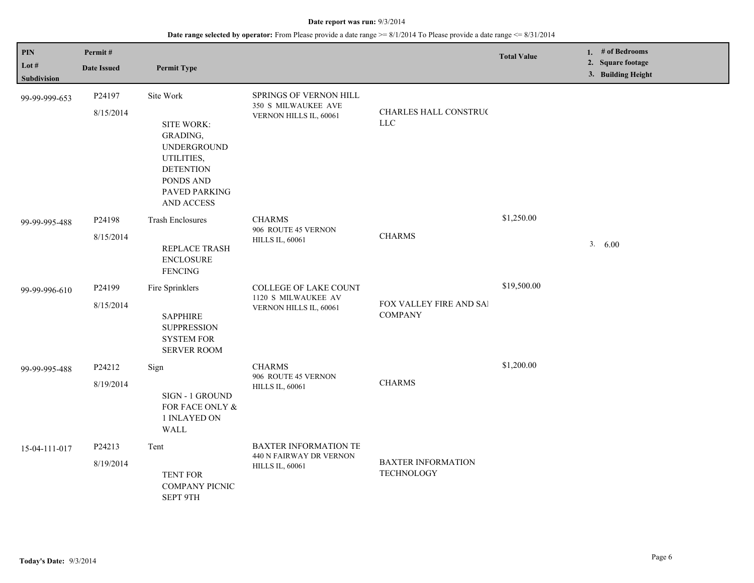| PIN<br>Lot $#$ | Permit#<br><b>Date Issued</b> | <b>Permit Type</b>                                                                                                                             |                                                                                   |                                                  | <b>Total Value</b> | 1. $#$ of Bedrooms<br>2. Square footage |
|----------------|-------------------------------|------------------------------------------------------------------------------------------------------------------------------------------------|-----------------------------------------------------------------------------------|--------------------------------------------------|--------------------|-----------------------------------------|
| Subdivision    |                               |                                                                                                                                                |                                                                                   |                                                  |                    | 3. Building Height                      |
| 99-99-999-653  | P24197<br>8/15/2014           | Site Work<br>SITE WORK:<br>GRADING,<br><b>UNDERGROUND</b><br>UTILITIES,<br><b>DETENTION</b><br>PONDS AND<br>PAVED PARKING<br><b>AND ACCESS</b> | SPRINGS OF VERNON HILL<br>350 S MILWAUKEE AVE<br>VERNON HILLS IL, 60061           | CHARLES HALL CONSTRUC<br>${\rm LLC}$             |                    |                                         |
| 99-99-995-488  | P24198<br>8/15/2014           | <b>Trash Enclosures</b><br>REPLACE TRASH<br><b>ENCLOSURE</b><br><b>FENCING</b>                                                                 | <b>CHARMS</b><br>906 ROUTE 45 VERNON<br><b>HILLS IL, 60061</b>                    | <b>CHARMS</b>                                    | \$1,250.00         | 3. 6.00                                 |
| 99-99-996-610  | P24199<br>8/15/2014           | Fire Sprinklers<br><b>SAPPHIRE</b><br><b>SUPPRESSION</b><br><b>SYSTEM FOR</b><br><b>SERVER ROOM</b>                                            | COLLEGE OF LAKE COUNT<br>1120 S MILWAUKEE AV<br>VERNON HILLS IL, 60061            | <b>FOX VALLEY FIRE AND SAI</b><br><b>COMPANY</b> | \$19,500.00        |                                         |
| 99-99-995-488  | P24212<br>8/19/2014           | Sign<br><b>SIGN - 1 GROUND</b><br>FOR FACE ONLY &<br>1 INLAYED ON<br>WALL                                                                      | <b>CHARMS</b><br>906 ROUTE 45 VERNON<br><b>HILLS IL, 60061</b>                    | <b>CHARMS</b>                                    | \$1,200.00         |                                         |
| 15-04-111-017  | P24213<br>8/19/2014           | Tent<br><b>TENT FOR</b><br>COMPANY PICNIC<br>SEPT 9TH                                                                                          | <b>BAXTER INFORMATION TE</b><br>440 N FAIRWAY DR VERNON<br><b>HILLS IL, 60061</b> | <b>BAXTER INFORMATION</b><br><b>TECHNOLOGY</b>   |                    |                                         |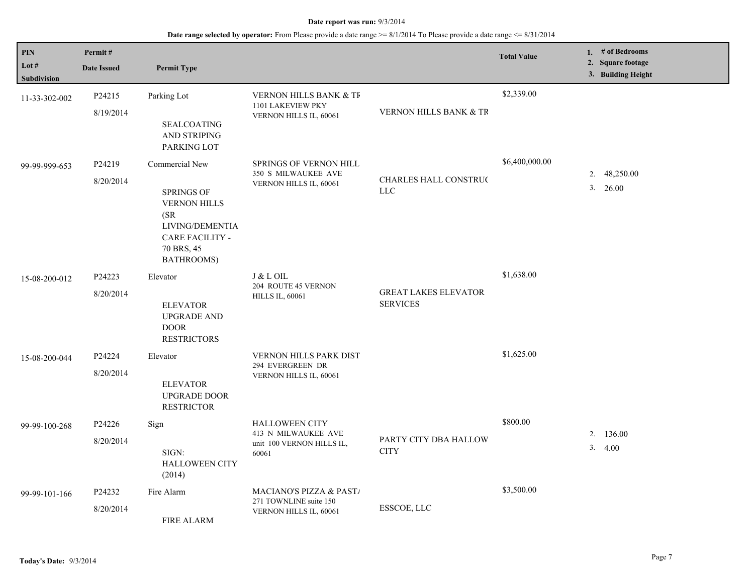| PIN                           | Permit#                                               |                                                                                                                           |                                                        |                                                | <b>Total Value</b> | 1. # of Bedrooms<br>2. Square footage |
|-------------------------------|-------------------------------------------------------|---------------------------------------------------------------------------------------------------------------------------|--------------------------------------------------------|------------------------------------------------|--------------------|---------------------------------------|
| Lot $#$<br><b>Subdivision</b> | <b>Date Issued</b>                                    | <b>Permit Type</b>                                                                                                        |                                                        |                                                |                    | 3. Building Height                    |
| 11-33-302-002                 | P24215                                                | Parking Lot                                                                                                               | <b>VERNON HILLS BANK &amp; TF</b><br>1101 LAKEVIEW PKY |                                                | \$2,339.00         |                                       |
|                               | 8/19/2014                                             | <b>SEALCOATING</b><br>AND STRIPING<br>PARKING LOT                                                                         | VERNON HILLS IL, 60061                                 | VERNON HILLS BANK & TR                         |                    |                                       |
| 99-99-999-653                 | P24219                                                | Commercial New                                                                                                            | SPRINGS OF VERNON HILL                                 |                                                | \$6,400,000.00     |                                       |
|                               | 8/20/2014                                             | <b>SPRINGS OF</b><br><b>VERNON HILLS</b><br>(SR)<br>LIVING/DEMENTIA<br><b>CARE FACILITY -</b><br>70 BRS, 45<br>BATHROOMS) | <b>350 S MILWAUKEE AVE</b><br>VERNON HILLS IL, 60061   | CHARLES HALL CONSTRUC<br><b>LLC</b>            |                    | 48,250.00<br>2.<br>3.<br>26.00        |
| 15-08-200-012                 | P24223                                                | Elevator                                                                                                                  | J & L OIL<br>204 ROUTE 45 VERNON                       |                                                | \$1,638.00         |                                       |
|                               | 8/20/2014                                             | <b>ELEVATOR</b><br><b>UPGRADE AND</b><br><b>DOOR</b><br><b>RESTRICTORS</b>                                                | <b>HILLS IL, 60061</b>                                 | <b>GREAT LAKES ELEVATOR</b><br><b>SERVICES</b> |                    |                                       |
| 15-08-200-044                 | P24224                                                | Elevator                                                                                                                  | VERNON HILLS PARK DIST<br>294 EVERGREEN DR             |                                                | \$1,625.00         |                                       |
|                               | 8/20/2014                                             | <b>ELEVATOR</b><br>UPGRADE DOOR<br><b>RESTRICTOR</b>                                                                      | VERNON HILLS IL, 60061                                 |                                                |                    |                                       |
| 99-99-100-268                 | P24226                                                | Sign                                                                                                                      | <b>HALLOWEEN CITY</b><br>413 N MILWAUKEE AVE           |                                                | \$800.00           | 2.<br>136.00                          |
|                               | 8/20/2014<br>SIGN:<br><b>HALLOWEEN CITY</b><br>(2014) | unit 100 VERNON HILLS IL,<br>60061                                                                                        | PARTY CITY DBA HALLOW<br><b>CITY</b>                   |                                                | 3.4.00             |                                       |
| 99-99-101-166                 | P24232                                                | Fire Alarm                                                                                                                | MACIANO'S PIZZA & PAST/                                |                                                | \$3,500.00         |                                       |
|                               | 8/20/2014<br><b>FIRE ALARM</b>                        | 271 TOWNLINE suite 150<br>ESSCOE, LLC<br>VERNON HILLS IL, 60061                                                           |                                                        |                                                |                    |                                       |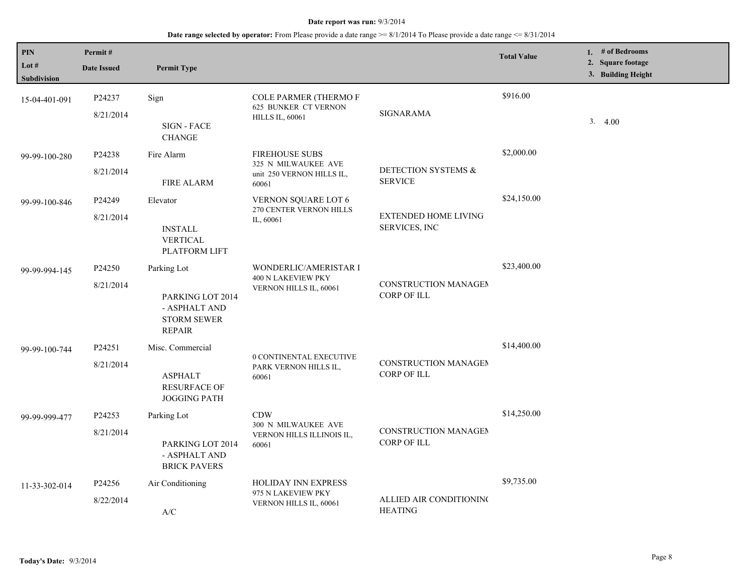| PIN<br>Lot #<br>Subdivision | Permit#<br><b>Date Issued</b> | <b>Permit Type</b>                                                                      |                                                                                       |                                                     | <b>Total Value</b> | 1. # of Bedrooms<br>2. Square footage<br>3. Building Height |
|-----------------------------|-------------------------------|-----------------------------------------------------------------------------------------|---------------------------------------------------------------------------------------|-----------------------------------------------------|--------------------|-------------------------------------------------------------|
| 15-04-401-091               | P24237<br>8/21/2014           | Sign<br>SIGN - FACE<br><b>CHANGE</b>                                                    | <b>COLE PARMER (THERMO F</b><br><b>625 BUNKER CT VERNON</b><br><b>HILLS IL, 60061</b> | SIGNARAMA                                           | \$916.00           | 3.4.00                                                      |
| 99-99-100-280               | P24238<br>8/21/2014           | Fire Alarm<br><b>FIRE ALARM</b>                                                         | <b>FIREHOUSE SUBS</b><br>325 N MILWAUKEE AVE<br>unit 250 VERNON HILLS IL,<br>60061    | DETECTION SYSTEMS &<br><b>SERVICE</b>               | \$2,000.00         |                                                             |
| 99-99-100-846               | P24249<br>8/21/2014           | Elevator<br><b>INSTALL</b><br>VERTICAL<br>PLATFORM LIFT                                 | VERNON SQUARE LOT 6<br>270 CENTER VERNON HILLS<br>IL, 60061                           | <b>EXTENDED HOME LIVING</b><br><b>SERVICES, INC</b> | \$24,150.00        |                                                             |
| 99-99-994-145               | P24250<br>8/21/2014           | Parking Lot<br>PARKING LOT 2014<br>- ASPHALT AND<br><b>STORM SEWER</b><br><b>REPAIR</b> | WONDERLIC/AMERISTAR I<br>400 N LAKEVIEW PKY<br>VERNON HILLS IL, 60061                 | <b>CONSTRUCTION MANAGEM</b><br><b>CORP OF ILL</b>   | \$23,400.00        |                                                             |
| 99-99-100-744               | P24251<br>8/21/2014           | Misc. Commercial<br><b>ASPHALT</b><br><b>RESURFACE OF</b><br><b>JOGGING PATH</b>        | 0 CONTINENTAL EXECUTIVE<br>PARK VERNON HILLS IL,<br>60061                             | CONSTRUCTION MANAGEM<br><b>CORP OF ILL</b>          | \$14,400.00        |                                                             |
| 99-99-999-477               | P24253<br>8/21/2014           | Parking Lot<br>PARKING LOT 2014<br>- ASPHALT AND<br><b>BRICK PAVERS</b>                 | <b>CDW</b><br>300 N MILWAUKEE AVE<br>VERNON HILLS ILLINOIS IL,<br>60061               | CONSTRUCTION MANAGEM<br><b>CORP OF ILL</b>          | \$14,250.00        |                                                             |
| 11-33-302-014               | P24256<br>8/22/2014           | Air Conditioning<br>$\ensuremath{\text{A}}\xspace/\ensuremath{\text{C}}\xspace$         | <b>HOLIDAY INN EXPRESS</b><br>975 N LAKEVIEW PKY<br>VERNON HILLS IL, 60061            | ALLIED AIR CONDITIONING<br><b>HEATING</b>           | \$9,735.00         |                                                             |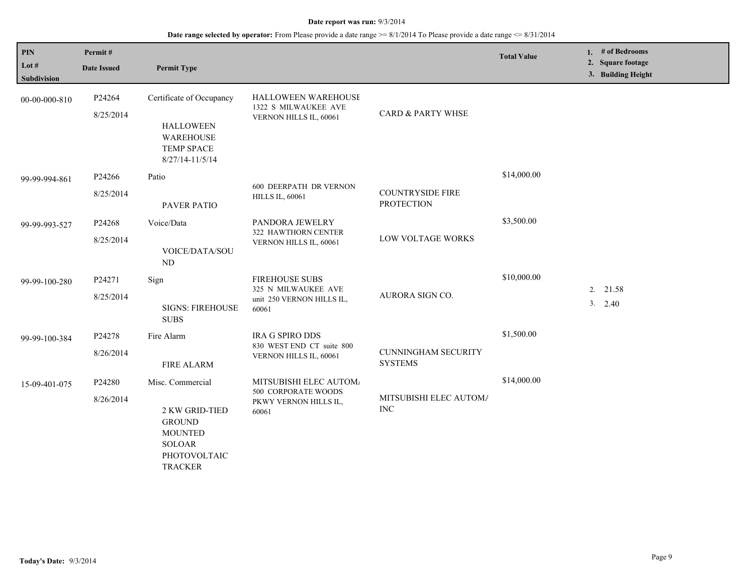| PIN<br>Lot #<br><b>Subdivision</b> | Permit#<br><b>Date Issued</b> | <b>Permit Type</b>                                                                                                       |                                                                                    |                                              | <b>Total Value</b> | # of Bedrooms<br>1.<br>2. Square footage<br>3. Building Height |
|------------------------------------|-------------------------------|--------------------------------------------------------------------------------------------------------------------------|------------------------------------------------------------------------------------|----------------------------------------------|--------------------|----------------------------------------------------------------|
| 00-00-000-810                      | P24264<br>8/25/2014           | Certificate of Occupancy<br><b>HALLOWEEN</b><br><b>WAREHOUSE</b><br><b>TEMP SPACE</b><br>$8/27/14 - 11/5/14$             | HALLOWEEN WAREHOUSE<br>1322 S MILWAUKEE AVE<br>VERNON HILLS IL, 60061              | <b>CARD &amp; PARTY WHSE</b>                 |                    |                                                                |
| 99-99-994-861                      | P24266<br>8/25/2014           | Patio<br><b>PAVER PATIO</b>                                                                                              | <b>600 DEERPATH DR VERNON</b><br><b>HILLS IL, 60061</b>                            | <b>COUNTRYSIDE FIRE</b><br><b>PROTECTION</b> | \$14,000.00        |                                                                |
| 99-99-993-527                      | P24268<br>8/25/2014           | Voice/Data<br>VOICE/DATA/SOU<br>ND                                                                                       | PANDORA JEWELRY<br>322 HAWTHORN CENTER<br>VERNON HILLS IL, 60061                   | LOW VOLTAGE WORKS                            | \$3,500.00         |                                                                |
| 99-99-100-280                      | P24271<br>8/25/2014           | Sign<br><b>SIGNS: FIREHOUSE</b><br><b>SUBS</b>                                                                           | <b>FIREHOUSE SUBS</b><br>325 N MILWAUKEE AVE<br>unit 250 VERNON HILLS IL,<br>60061 | AURORA SIGN CO.                              | \$10,000.00        | 2. 21.58<br>$3. \quad 2.40$                                    |
| 99-99-100-384                      | P24278<br>8/26/2014           | Fire Alarm<br><b>FIRE ALARM</b>                                                                                          | <b>IRA G SPIRO DDS</b><br>830 WEST END CT suite 800<br>VERNON HILLS IL, 60061      | <b>CUNNINGHAM SECURITY</b><br><b>SYSTEMS</b> | \$1,500.00         |                                                                |
| 15-09-401-075                      | P24280<br>8/26/2014           | Misc. Commercial<br>2 KW GRID-TIED<br><b>GROUND</b><br><b>MOUNTED</b><br><b>SOLOAR</b><br>PHOTOVOLTAIC<br><b>TRACKER</b> | MITSUBISHI ELEC AUTOM/<br>500 CORPORATE WOODS<br>PKWY VERNON HILLS IL,<br>60061    | MITSUBISHI ELEC AUTOM/<br><b>INC</b>         | \$14,000.00        |                                                                |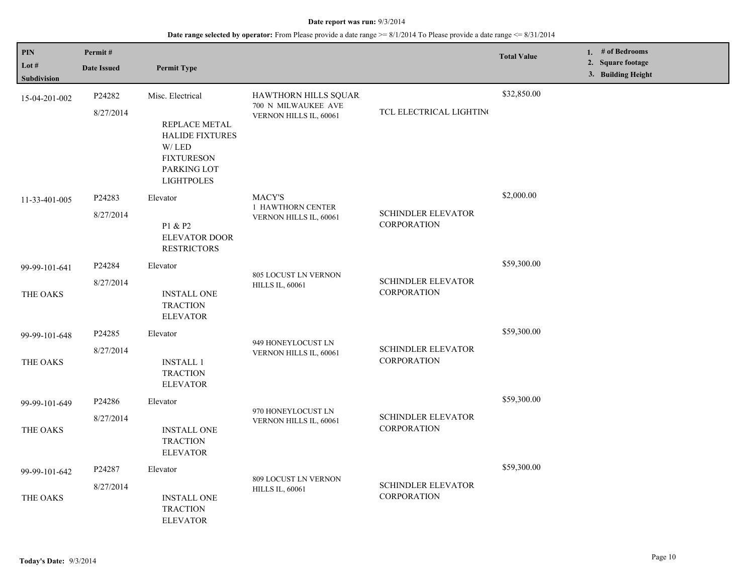| PIN                           | Permit#            |                                                                                                                           |                                                       |                                                 | <b>Total Value</b> | 1. # of Bedrooms                        |
|-------------------------------|--------------------|---------------------------------------------------------------------------------------------------------------------------|-------------------------------------------------------|-------------------------------------------------|--------------------|-----------------------------------------|
| Lot $#$<br><b>Subdivision</b> | <b>Date Issued</b> | <b>Permit Type</b>                                                                                                        |                                                       |                                                 |                    | 2. Square footage<br>3. Building Height |
| 15-04-201-002                 | P24282             | Misc. Electrical                                                                                                          | HAWTHORN HILLS SQUAR<br>700 N MILWAUKEE AVE           |                                                 | \$32,850.00        |                                         |
|                               | 8/27/2014          | REPLACE METAL<br><b>HALIDE FIXTURES</b><br>$\hbox{W}/\hbox{LED}$<br><b>FIXTURESON</b><br>PARKING LOT<br><b>LIGHTPOLES</b> | VERNON HILLS IL, 60061<br><b>MACY'S</b>               | TCL ELECTRICAL LIGHTING                         |                    |                                         |
| 11-33-401-005                 | P24283             | Elevator                                                                                                                  |                                                       |                                                 | \$2,000.00         |                                         |
|                               | 8/27/2014          | P1 & P2<br><b>ELEVATOR DOOR</b><br><b>RESTRICTORS</b>                                                                     | 1 HAWTHORN CENTER<br>VERNON HILLS IL, 60061           | <b>SCHINDLER ELEVATOR</b><br><b>CORPORATION</b> |                    |                                         |
| 99-99-101-641                 | P24284             | Elevator                                                                                                                  |                                                       |                                                 | \$59,300.00        |                                         |
| THE OAKS                      | 8/27/2014          | <b>INSTALL ONE</b><br><b>TRACTION</b><br><b>ELEVATOR</b>                                                                  | <b>805 LOCUST LN VERNON</b><br><b>HILLS IL, 60061</b> | <b>SCHINDLER ELEVATOR</b><br><b>CORPORATION</b> |                    |                                         |
| 99-99-101-648                 | P24285             | Elevator                                                                                                                  |                                                       |                                                 | \$59,300.00        |                                         |
| THE OAKS                      | 8/27/2014          | <b>INSTALL 1</b><br><b>TRACTION</b><br><b>ELEVATOR</b>                                                                    | 949 HONEYLOCUST LN<br>VERNON HILLS IL, 60061          | <b>SCHINDLER ELEVATOR</b><br><b>CORPORATION</b> |                    |                                         |
| 99-99-101-649                 | P24286             | Elevator                                                                                                                  |                                                       |                                                 | \$59,300.00        |                                         |
| THE OAKS                      | 8/27/2014          | <b>INSTALL ONE</b><br><b>TRACTION</b><br><b>ELEVATOR</b>                                                                  | 970 HONEYLOCUST LN<br>VERNON HILLS IL, 60061          | <b>SCHINDLER ELEVATOR</b><br><b>CORPORATION</b> |                    |                                         |
| 99-99-101-642                 | P24287             | Elevator                                                                                                                  |                                                       |                                                 | \$59,300.00        |                                         |
| THE OAKS                      | 8/27/2014          | <b>INSTALL ONE</b><br><b>TRACTION</b><br><b>ELEVATOR</b>                                                                  | 809 LOCUST LN VERNON<br><b>HILLS IL, 60061</b>        | <b>SCHINDLER ELEVATOR</b><br><b>CORPORATION</b> |                    |                                         |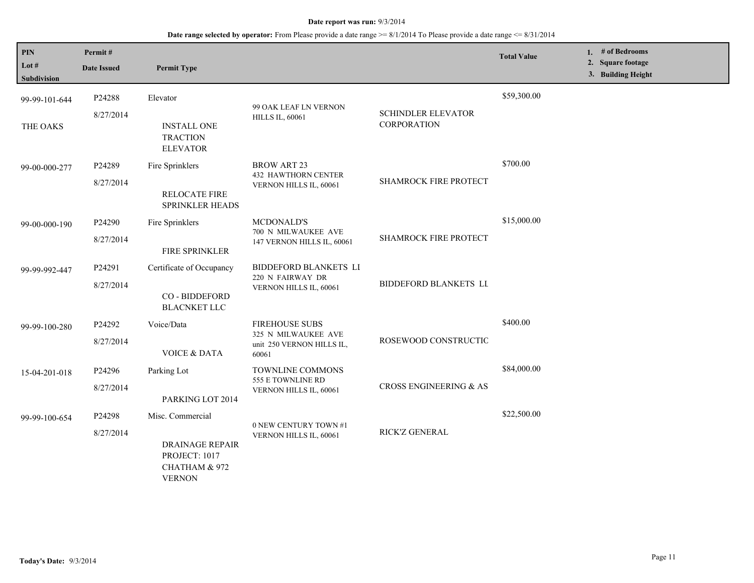| PIN<br>Lot #<br>Subdivision | Permit#<br><b>Date Issued</b> | <b>Permit Type</b>                                                                            |                                                                                    |                                                 | <b>Total Value</b> | 1. # of Bedrooms<br>2. Square footage<br>3. Building Height |
|-----------------------------|-------------------------------|-----------------------------------------------------------------------------------------------|------------------------------------------------------------------------------------|-------------------------------------------------|--------------------|-------------------------------------------------------------|
| 99-99-101-644<br>THE OAKS   | P24288<br>8/27/2014           | Elevator<br><b>INSTALL ONE</b><br><b>TRACTION</b><br><b>ELEVATOR</b>                          | 99 OAK LEAF LN VERNON<br><b>HILLS IL, 60061</b>                                    | <b>SCHINDLER ELEVATOR</b><br><b>CORPORATION</b> | \$59,300.00        |                                                             |
| 99-00-000-277               | P24289<br>8/27/2014           | Fire Sprinklers<br><b>RELOCATE FIRE</b><br><b>SPRINKLER HEADS</b>                             | <b>BROW ART 23</b><br><b>432 HAWTHORN CENTER</b><br>VERNON HILLS IL, 60061         | SHAMROCK FIRE PROTECT                           | \$700.00           |                                                             |
| 99-00-000-190               | P24290<br>8/27/2014           | Fire Sprinklers<br>FIRE SPRINKLER                                                             | <b>MCDONALD'S</b><br>700 N MILWAUKEE AVE<br>147 VERNON HILLS IL, 60061             | <b>SHAMROCK FIRE PROTECT</b>                    | \$15,000.00        |                                                             |
| 99-99-992-447               | P24291<br>8/27/2014           | Certificate of Occupancy<br>CO - BIDDEFORD<br><b>BLACNKET LLC</b>                             | BIDDEFORD BLANKETS LI<br>220 N FAIRWAY DR<br>VERNON HILLS IL, 60061                | <b>BIDDEFORD BLANKETS LL</b>                    |                    |                                                             |
| 99-99-100-280               | P24292<br>8/27/2014           | Voice/Data<br><b>VOICE &amp; DATA</b>                                                         | <b>FIREHOUSE SUBS</b><br>325 N MILWAUKEE AVE<br>unit 250 VERNON HILLS IL,<br>60061 | ROSEWOOD CONSTRUCTIC                            | \$400.00           |                                                             |
| 15-04-201-018               | P24296<br>8/27/2014           | Parking Lot<br>PARKING LOT 2014                                                               | TOWNLINE COMMONS<br>555 E TOWNLINE RD<br>VERNON HILLS IL, 60061                    | CROSS ENGINEERING & AS                          | \$84,000.00        |                                                             |
| 99-99-100-654               | P24298<br>8/27/2014           | Misc. Commercial<br><b>DRAINAGE REPAIR</b><br>PROJECT: 1017<br>CHATHAM & 972<br><b>VERNON</b> | 0 NEW CENTURY TOWN #1<br>VERNON HILLS IL, 60061                                    | RICK'Z GENERAL                                  | \$22,500.00        |                                                             |